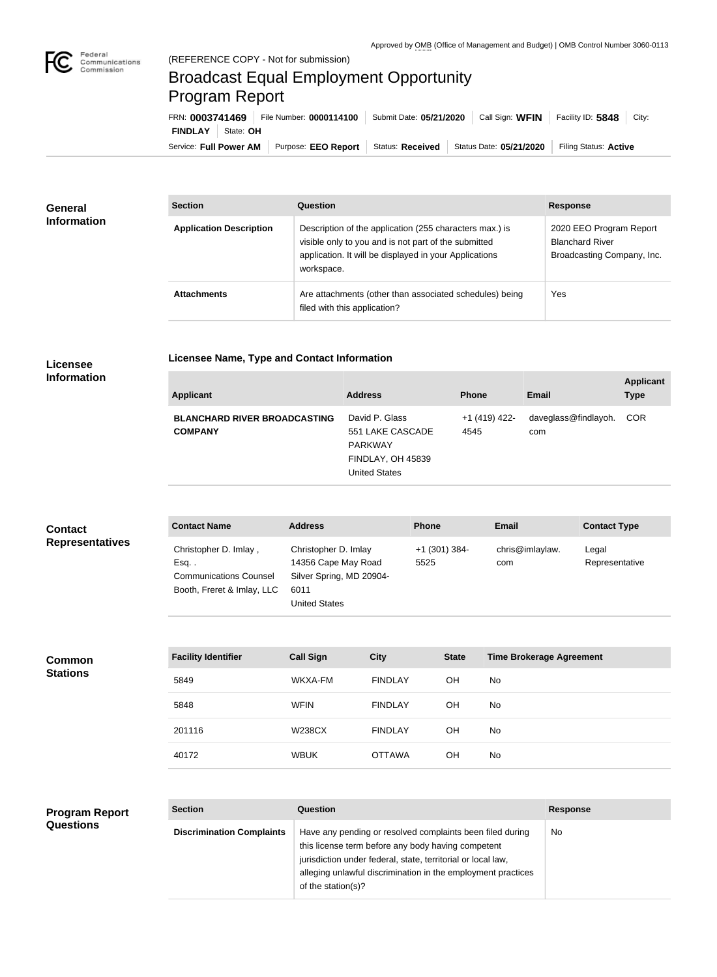

## Broadcast Equal Employment Opportunity Program Report

**Licensee Name, Type and Contact Information**

Service: Full Power AM | Purpose: EEO Report | Status: Received | Status Date: 05/21/2020 | Filing Status: Active **FINDLAY** State: **OH** FRN: **0003741469** File Number: **0000114100** Submit Date: **05/21/2020** Call Sign: **WFIN** Facility ID: **5848** City:

| General<br><b>Information</b> | <b>Section</b>                 | Question                                                                                                                                                                                | <b>Response</b>                                                                 |  |  |
|-------------------------------|--------------------------------|-----------------------------------------------------------------------------------------------------------------------------------------------------------------------------------------|---------------------------------------------------------------------------------|--|--|
|                               | <b>Application Description</b> | Description of the application (255 characters max.) is<br>visible only to you and is not part of the submitted<br>application. It will be displayed in your Applications<br>workspace. | 2020 EEO Program Report<br><b>Blanchard River</b><br>Broadcasting Company, Inc. |  |  |
|                               | <b>Attachments</b>             | Are attachments (other than associated schedules) being<br>filed with this application?                                                                                                 | Yes                                                                             |  |  |

## **Licensee Information**

| <b>Applicant</b>                                      | <b>Address</b>                                                                                    | <b>Phone</b>          | Email                       | <b>Applicant</b><br><b>Type</b> |
|-------------------------------------------------------|---------------------------------------------------------------------------------------------------|-----------------------|-----------------------------|---------------------------------|
| <b>BLANCHARD RIVER BROADCASTING</b><br><b>COMPANY</b> | David P. Glass<br>551 LAKE CASCADE<br><b>PARKWAY</b><br>FINDLAY, OH 45839<br><b>United States</b> | +1 (419) 422-<br>4545 | daveglass@findlayoh.<br>com | <b>COR</b>                      |

| <b>Contact</b>         | <b>Contact Name</b>                                                                              | <b>Address</b>                                                                                          | <b>Phone</b>          | Email                  | <b>Contact Type</b>     |
|------------------------|--------------------------------------------------------------------------------------------------|---------------------------------------------------------------------------------------------------------|-----------------------|------------------------|-------------------------|
| <b>Representatives</b> | Christopher D. Imlay,<br>$Esq.$ .<br><b>Communications Counsel</b><br>Booth, Freret & Imlay, LLC | Christopher D. Imlay<br>14356 Cape May Road<br>Silver Spring, MD 20904-<br>6011<br><b>United States</b> | +1 (301) 384-<br>5525 | chris@imlaylaw.<br>com | Legal<br>Representative |

| <b>Common</b><br><b>Stations</b> | <b>Facility Identifier</b> | <b>Call Sign</b> | <b>City</b>    | <b>State</b> | <b>Time Brokerage Agreement</b> |
|----------------------------------|----------------------------|------------------|----------------|--------------|---------------------------------|
|                                  | 5849                       | WKXA-FM          | <b>FINDLAY</b> | <b>OH</b>    | No                              |
|                                  | 5848                       | <b>WFIN</b>      | <b>FINDLAY</b> | <b>OH</b>    | <b>No</b>                       |
|                                  | 201116                     | <b>W238CX</b>    | <b>FINDLAY</b> | OH           | No                              |
|                                  | 40172                      | <b>WBUK</b>      | <b>OTTAWA</b>  | OH           | No                              |

## **Program Report Questions**

| <b>Section</b>                   | Question                                                                                                                                                                                                                                                              | <b>Response</b> |
|----------------------------------|-----------------------------------------------------------------------------------------------------------------------------------------------------------------------------------------------------------------------------------------------------------------------|-----------------|
| <b>Discrimination Complaints</b> | Have any pending or resolved complaints been filed during<br>this license term before any body having competent<br>jurisdiction under federal, state, territorial or local law,<br>alleging unlawful discrimination in the employment practices<br>of the station(s)? | No.             |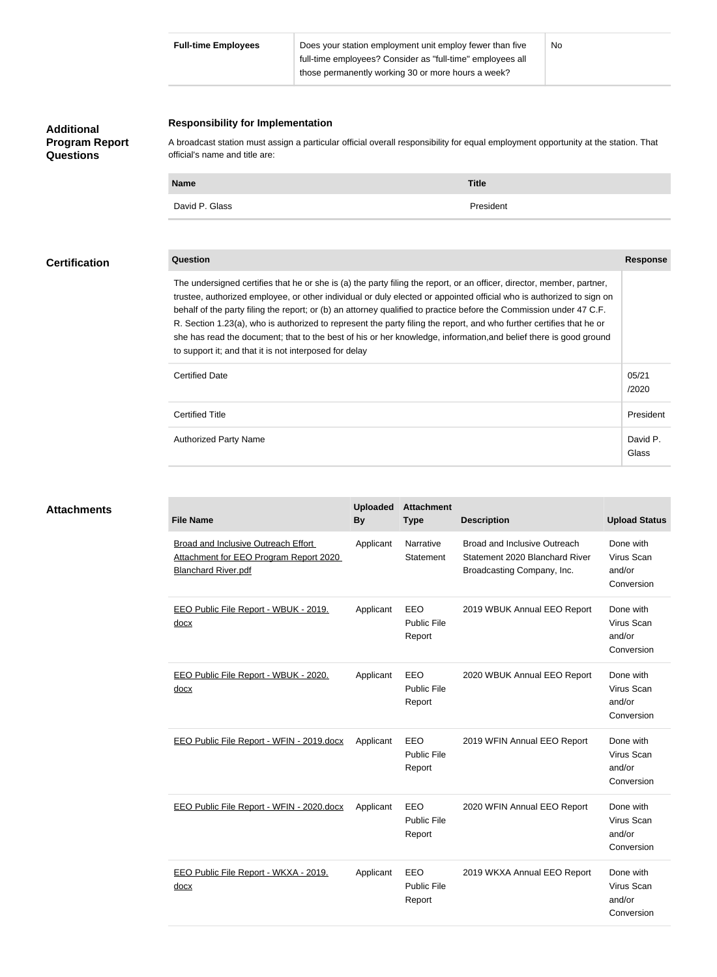|                                                         | <b>Full-time Employees</b><br>Does your station employment unit employ fewer than five<br>full-time employees? Consider as "full-time" employees all<br>those permanently working 30 or more hours a week?                                                                                                                                                                                                                                                                                                                                                                                                                                                                                                              |              |                 |                                     |                                                                                                     | No                          |                                                 |                                                 |  |
|---------------------------------------------------------|-------------------------------------------------------------------------------------------------------------------------------------------------------------------------------------------------------------------------------------------------------------------------------------------------------------------------------------------------------------------------------------------------------------------------------------------------------------------------------------------------------------------------------------------------------------------------------------------------------------------------------------------------------------------------------------------------------------------------|--------------|-----------------|-------------------------------------|-----------------------------------------------------------------------------------------------------|-----------------------------|-------------------------------------------------|-------------------------------------------------|--|
| <b>Additional</b><br><b>Program Report</b><br>Questions | <b>Responsibility for Implementation</b><br>A broadcast station must assign a particular official overall responsibility for equal employment opportunity at the station. That<br>official's name and title are:                                                                                                                                                                                                                                                                                                                                                                                                                                                                                                        |              |                 |                                     |                                                                                                     |                             |                                                 |                                                 |  |
|                                                         | <b>Name</b>                                                                                                                                                                                                                                                                                                                                                                                                                                                                                                                                                                                                                                                                                                             | <b>Title</b> |                 |                                     |                                                                                                     |                             |                                                 |                                                 |  |
|                                                         | David P. Glass                                                                                                                                                                                                                                                                                                                                                                                                                                                                                                                                                                                                                                                                                                          |              |                 |                                     | President                                                                                           |                             |                                                 |                                                 |  |
| <b>Certification</b>                                    | <b>Question</b>                                                                                                                                                                                                                                                                                                                                                                                                                                                                                                                                                                                                                                                                                                         |              |                 |                                     |                                                                                                     |                             |                                                 | <b>Response</b>                                 |  |
|                                                         | The undersigned certifies that he or she is (a) the party filing the report, or an officer, director, member, partner,<br>trustee, authorized employee, or other individual or duly elected or appointed official who is authorized to sign on<br>behalf of the party filing the report; or (b) an attorney qualified to practice before the Commission under 47 C.F.<br>R. Section 1.23(a), who is authorized to represent the party filing the report, and who further certifies that he or<br>she has read the document; that to the best of his or her knowledge, information, and belief there is good ground<br>to support it; and that it is not interposed for delay<br><b>Certified Date</b><br>05/21<br>/2020 |              |                 |                                     |                                                                                                     |                             |                                                 |                                                 |  |
|                                                         | <b>Certified Title</b>                                                                                                                                                                                                                                                                                                                                                                                                                                                                                                                                                                                                                                                                                                  |              |                 |                                     |                                                                                                     |                             | President                                       |                                                 |  |
|                                                         | <b>Authorized Party Name</b>                                                                                                                                                                                                                                                                                                                                                                                                                                                                                                                                                                                                                                                                                            |              |                 |                                     |                                                                                                     |                             |                                                 | David P<br>Glass                                |  |
| <b>Attachments</b>                                      |                                                                                                                                                                                                                                                                                                                                                                                                                                                                                                                                                                                                                                                                                                                         |              | <b>Uploaded</b> | <b>Attachment</b>                   |                                                                                                     |                             |                                                 |                                                 |  |
|                                                         | <b>File Name</b>                                                                                                                                                                                                                                                                                                                                                                                                                                                                                                                                                                                                                                                                                                        |              | <b>By</b>       | <b>Type</b>                         | <b>Description</b>                                                                                  |                             |                                                 | <b>Upload Status</b>                            |  |
|                                                         | <b>Broad and Inclusive Outreach Effort</b><br>Attachment for EEO Program Report 2020<br><b>Blanchard River.pdf</b>                                                                                                                                                                                                                                                                                                                                                                                                                                                                                                                                                                                                      |              | Applicant       | Narrative<br>Statement              | <b>Broad and Inclusive Outreach</b><br>Statement 2020 Blanchard River<br>Broadcasting Company, Inc. |                             | Done with<br>Virus Scan<br>and/or<br>Conversion |                                                 |  |
|                                                         | EEO Public File Report - WBUK - 2019.<br>docx                                                                                                                                                                                                                                                                                                                                                                                                                                                                                                                                                                                                                                                                           |              | Applicant       | EEO<br>Public File<br>Report        | 2019 WBUK Annual EEO Report                                                                         |                             | Done with<br>Virus Scan<br>and/or<br>Conversion |                                                 |  |
|                                                         | EEO Public File Report - WBUK - 2020.<br><u>docx</u>                                                                                                                                                                                                                                                                                                                                                                                                                                                                                                                                                                                                                                                                    |              | Applicant       | EEO<br><b>Public File</b><br>Report | 2020 WBUK Annual EEO Report                                                                         |                             | Done with<br>Virus Scan<br>and/or<br>Conversion |                                                 |  |
|                                                         | EEO Public File Report - WFIN - 2019.docx                                                                                                                                                                                                                                                                                                                                                                                                                                                                                                                                                                                                                                                                               |              | Applicant       | EEO<br><b>Public File</b><br>Report |                                                                                                     | 2019 WFIN Annual EEO Report |                                                 | Done with<br>Virus Scan<br>and/or<br>Conversion |  |
|                                                         | EEO Public File Report - WFIN - 2020.docx                                                                                                                                                                                                                                                                                                                                                                                                                                                                                                                                                                                                                                                                               |              | Applicant       | EEO<br><b>Public File</b><br>Report | 2020 WFIN Annual EEO Report                                                                         |                             | and/or                                          | Done with<br>Virus Scan<br>Conversion           |  |
|                                                         | EEO Public File Report - WKXA - 2019.<br>docx                                                                                                                                                                                                                                                                                                                                                                                                                                                                                                                                                                                                                                                                           |              | Applicant       | EEO<br>Public File<br>Report        | 2019 WKXA Annual EEO Report                                                                         |                             | and/or                                          | Done with<br>Virus Scan                         |  |

Conversion